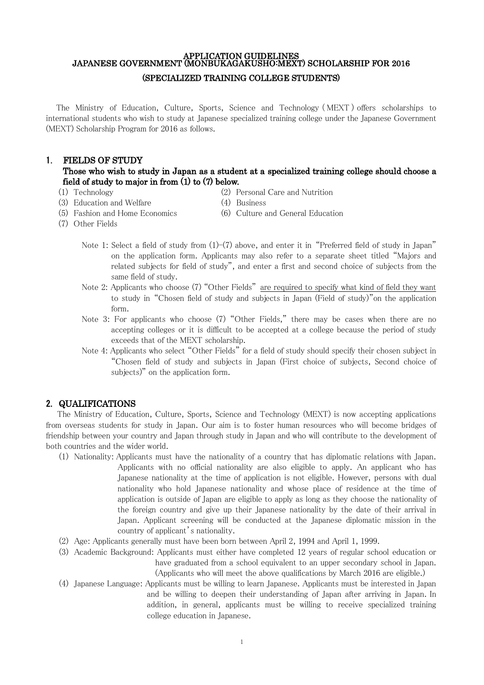## APPLICATION GUIDELINES JAPANESE GOVERNMENT (MONBUKAGAKUSHO:MEXT) SCHOLARSHIP FOR 2016 (SPECIALIZED TRAINING COLLEGE STUDENTS)

The Ministry of Education, Culture, Sports, Science and Technology ( MEXT ) offers scholarships to international students who wish to study at Japanese specialized training college under the Japanese Government (MEXT) Scholarship Program for 2016 as follows.

## 1. FIELDS OF STUDY

# Those who wish to study in Japan as a student at a specialized training college should choose a field of study to major in from (1) to (7) below.

- 
- (1) Technology (2) Personal Care and Nutrition
- (3) Education and Welfare (4) Business
	-
- 
- 
- 
- (5) Fashion and Home Economics (6) Culture and General Education
- (7) Other Fields
	- Note 1: Select a field of study from  $(1)-(7)$  above, and enter it in "Preferred field of study in Japan" on the application form. Applicants may also refer to a separate sheet titled "Majors and related subjects for field of study", and enter a first and second choice of subjects from the same field of study.
	- Note 2: Applicants who choose (7) "Other Fields" are required to specify what kind of field they want to study in "Chosen field of study and subjects in Japan (Field of study)"on the application form.
	- Note 3: For applicants who choose (7) "Other Fields," there may be cases when there are no accepting colleges or it is difficult to be accepted at a college because the period of study exceeds that of the MEXT scholarship.
	- Note 4: Applicants who select "Other Fields" for a field of study should specify their chosen subject in "Chosen field of study and subjects in Japan (First choice of subjects, Second choice of subjects)" on the application form.

## 2. QUALIFICATIONS

 The Ministry of Education, Culture, Sports, Science and Technology (MEXT) is now accepting applications from overseas students for study in Japan. Our aim is to foster human resources who will become bridges of friendship between your country and Japan through study in Japan and who will contribute to the development of both countries and the wider world.

- (1) Nationality: Applicants must have the nationality of a country that has diplomatic relations with Japan. Applicants with no official nationality are also eligible to apply. An applicant who has Japanese nationality at the time of application is not eligible. However, persons with dual nationality who hold Japanese nationality and whose place of residence at the time of application is outside of Japan are eligible to apply as long as they choose the nationality of the foreign country and give up their Japanese nationality by the date of their arrival in Japan. Applicant screening will be conducted at the Japanese diplomatic mission in the country of applicant's nationality.
- (2) Age: Applicants generally must have been born between April 2, 1994 and April 1, 1999.
- (3) Academic Background: Applicants must either have completed 12 years of regular school education or have graduated from a school equivalent to an upper secondary school in Japan.
	- (Applicants who will meet the above qualifications by March 2016 are eligible.)
- (4) Japanese Language: Applicants must be willing to learn Japanese. Applicants must be interested in Japan and be willing to deepen their understanding of Japan after arriving in Japan. In addition, in general, applicants must be willing to receive specialized training college education in Japanese.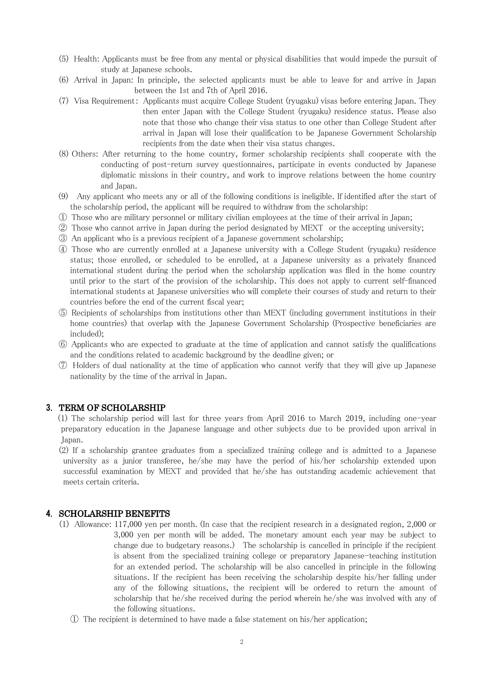- (5) Health: Applicants must be free from any mental or physical disabilities that would impede the pursuit of study at Japanese schools.
- (6) Arrival in Japan: In principle, the selected applicants must be able to leave for and arrive in Japan between the 1st and 7th of April 2016.
- (7) Visa Requirement: Applicants must acquire College Student (ryugaku) visas before entering Japan. They then enter Japan with the College Student (ryugaku) residence status. Please also note that those who change their visa status to one other than College Student after arrival in Japan will lose their qualification to be Japanese Government Scholarship recipients from the date when their visa status changes.
- (8) Others: After returning to the home country, former scholarship recipients shall cooperate with the conducting of post-return survey questionnaires, participate in events conducted by Japanese diplomatic missions in their country, and work to improve relations between the home country and Japan.
- (9) Any applicant who meets any or all of the following conditions is ineligible. If identified after the start of the scholarship period, the applicant will be required to withdraw from the scholarship:
- ① Those who are military personnel or military civilian employees at the time of their arrival in Japan;
- ② Those who cannot arrive in Japan during the period designated by MEXT or the accepting university;
- ③ An applicant who is a previous recipient of a Japanese government scholarship;
- ④ Those who are currently enrolled at a Japanese university with a College Student (ryugaku) residence status; those enrolled, or scheduled to be enrolled, at a Japanese university as a privately financed international student during the period when the scholarship application was filed in the home country until prior to the start of the provision of the scholarship. This does not apply to current self-financed international students at Japanese universities who will complete their courses of study and return to their countries before the end of the current fiscal year;
- ⑤ Recipients of scholarships from institutions other than MEXT (including government institutions in their home countries) that overlap with the Japanese Government Scholarship (Prospective beneficiaries are included);
- ⑥ Applicants who are expected to graduate at the time of application and cannot satisfy the qualifications and the conditions related to academic background by the deadline given; or
- ⑦ Holders of dual nationality at the time of application who cannot verify that they will give up Japanese nationality by the time of the arrival in Japan.

# 3. TERM OF SCHOLARSHIP

(1) The scholarship period will last for three years from April 2016 to March 2019, including one-year preparatory education in the Japanese language and other subjects due to be provided upon arrival in Japan.

(2) If a scholarship grantee graduates from a specialized training college and is admitted to a Japanese university as a junior transferee, he/she may have the period of his/her scholarship extended upon successful examination by MEXT and provided that he/she has outstanding academic achievement that meets certain criteria.

#### 4. SCHOLARSHIP BENEFITS

- (1) Allowance: 117,000 yen per month. (In case that the recipient research in a designated region, 2,000 or 3,000 yen per month will be added. The monetary amount each year may be subject to change due to budgetary reasons.) The scholarship is cancelled in principle if the recipient is absent from the specialized training college or preparatory Japanese-teaching institution for an extended period. The scholarship will be also cancelled in principle in the following situations. If the recipient has been receiving the scholarship despite his/her falling under any of the following situations, the recipient will be ordered to return the amount of scholarship that he/she received during the period wherein he/she was involved with any of the following situations.
	- ① The recipient is determined to have made a false statement on his/her application;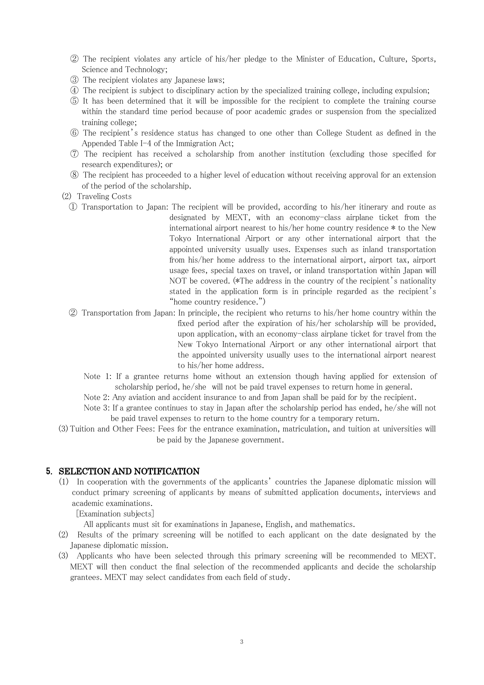- ② The recipient violates any article of his/her pledge to the Minister of Education, Culture, Sports, Science and Technology;
- ③ The recipient violates any Japanese laws;
- ④ The recipient is subject to disciplinary action by the specialized training college, including expulsion;
- ⑤ It has been determined that it will be impossible for the recipient to complete the training course within the standard time period because of poor academic grades or suspension from the specialized training college;
- ⑥ The recipient's residence status has changed to one other than College Student as defined in the Appended Table I-4 of the Immigration Act;
- ⑦ The recipient has received a scholarship from another institution (excluding those specified for research expenditures); or
- ⑧ The recipient has proceeded to a higher level of education without receiving approval for an extension of the period of the scholarship.

(2) Traveling Costs

- ① Transportation to Japan: The recipient will be provided, according to his/her itinerary and route as designated by MEXT, with an economy-class airplane ticket from the international airport nearest to his/her home country residence \* to the New Tokyo International Airport or any other international airport that the appointed university usually uses. Expenses such as inland transportation from his/her home address to the international airport, airport tax, airport usage fees, special taxes on travel, or inland transportation within Japan will NOT be covered. (\*The address in the country of the recipient's nationality stated in the application form is in principle regarded as the recipient's "home country residence.")
- ② Transportation from Japan: In principle, the recipient who returns to his/her home country within the fixed period after the expiration of his/her scholarship will be provided, upon application, with an economy-class airplane ticket for travel from the New Tokyo International Airport or any other international airport that the appointed university usually uses to the international airport nearest to his/her home address.
	- Note 1: If a grantee returns home without an extension though having applied for extension of scholarship period, he/she will not be paid travel expenses to return home in general.
	- Note 2: Any aviation and accident insurance to and from Japan shall be paid for by the recipient.
	- Note 3: If a grantee continues to stay in Japan after the scholarship period has ended, he/she will not be paid travel expenses to return to the home country for a temporary return.
- (3) Tuition and Other Fees: Fees for the entrance examination, matriculation, and tuition at universities will be paid by the Japanese government.

#### 5. SELECTION AND NOTIFICATION

(1) In cooperation with the governments of the applicants' countries the Japanese diplomatic mission will conduct primary screening of applicants by means of submitted application documents, interviews and academic examinations.

[Examination subjects]

All applicants must sit for examinations in Japanese, English, and mathematics.

- (2) Results of the primary screening will be notified to each applicant on the date designated by the Japanese diplomatic mission.
- (3) Applicants who have been selected through this primary screening will be recommended to MEXT. MEXT will then conduct the final selection of the recommended applicants and decide the scholarship grantees. MEXT may select candidates from each field of study.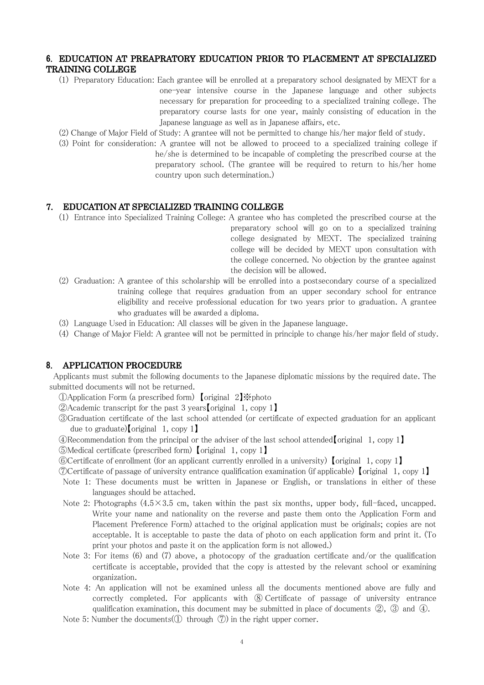# 6. EDUCATION AT PREAPRATORY EDUCATION PRIOR TO PLACEMENT AT SPECIALIZED TRAINING COLLEGE

- (1) Preparatory Education: Each grantee will be enrolled at a preparatory school designated by MEXT for a one-year intensive course in the Japanese language and other subjects necessary for preparation for proceeding to a specialized training college. The preparatory course lasts for one year, mainly consisting of education in the Japanese language as well as in Japanese affairs, etc.
- (2) Change of Major Field of Study: A grantee will not be permitted to change his/her major field of study.
- (3) Point for consideration: A grantee will not be allowed to proceed to a specialized training college if he/she is determined to be incapable of completing the prescribed course at the preparatory school. (The grantee will be required to return to his/her home country upon such determination.)

## 7. EDUCATION AT SPECIALIZED TRAINING COLLEGE

- (1) Entrance into Specialized Training College: A grantee who has completed the prescribed course at the preparatory school will go on to a specialized training college designated by MEXT. The specialized training college will be decided by MEXT upon consultation with the college concerned. No objection by the grantee against the decision will be allowed.
- (2) Graduation: A grantee of this scholarship will be enrolled into a postsecondary course of a specialized training college that requires graduation from an upper secondary school for entrance eligibility and receive professional education for two years prior to graduation. A grantee who graduates will be awarded a diploma.
- (3) Language Used in Education: All classes will be given in the Japanese language.
- (4) Change of Major Field: A grantee will not be permitted in principle to change his/her major field of study.

## 8. APPLICATION PROCEDURE

Applicants must submit the following documents to the Japanese diplomatic missions by the required date. The submitted documents will not be returned.

①Application Form (a prescribed form) 【original 2】※photo

②Academic transcript for the past 3 years【original 1, copy 1】

- ③Graduation certificate of the last school attended (or certificate of expected graduation for an applicant due to graduate)【original 1, copy 1】
- $\mathcal Q$ Recommendation from the principal or the adviser of the last school attended [original 1, copy 1]
- ⑤Medical certificate (prescribed form) 【original 1, copy 1】
- ⑥Certificate of enrollment (for an applicant currently enrolled in a university) 【original 1, copy 1】

⑦Certificate of passage of university entrance qualification examination (if applicable) 【original 1, copy 1】

- Note 1: These documents must be written in Japanese or English, or translations in either of these languages should be attached.
- Note 2: Photographs  $(4.5 \times 3.5 \text{ cm}$ , taken within the past six months, upper body, full-faced, uncapped. Write your name and nationality on the reverse and paste them onto the Application Form and Placement Preference Form) attached to the original application must be originals; copies are not acceptable. It is acceptable to paste the data of photo on each application form and print it. (To print your photos and paste it on the application form is not allowed.)
- Note 3: For items (6) and (7) above, a photocopy of the graduation certificate and/or the qualification certificate is acceptable, provided that the copy is attested by the relevant school or examining organization.
- Note 4: An application will not be examined unless all the documents mentioned above are fully and correctly completed. For applicants with ⑧ Certificate of passage of university entrance qualification examination, this document may be submitted in place of documents  $(2)$ ,  $(3)$  and  $(4)$ .
- Note 5: Number the documents( $\circled{1}$  through  $\circled{7}$ ) in the right upper corner.